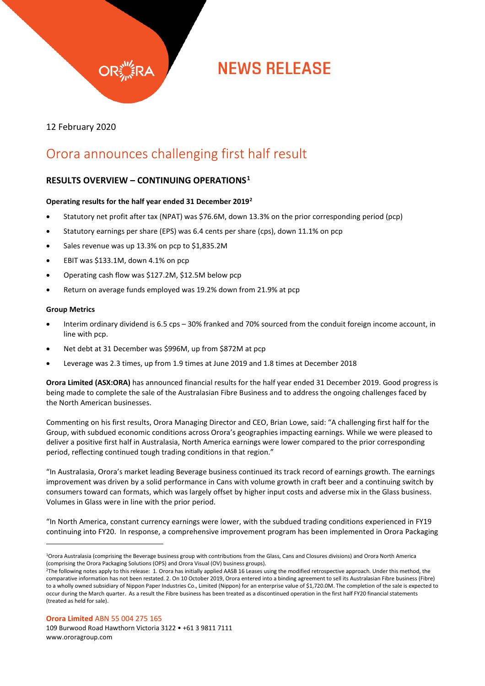

# **NEWS RELEASE**

12 February 2020

### Orora announces challenging first half result

### **RESULTS OVERVIEW – CONTINUING OPERATIONS[1](#page-0-0)**

#### **Operating results for the half year ended 31 December 2019[2](#page-0-1)**

- Statutory net profit after tax (NPAT) was \$76.6M, down 13.3% on the prior corresponding period (pcp)
- Statutory earnings per share (EPS) was 6.4 cents per share (cps), down 11.1% on pcp
- Sales revenue was up 13.3% on pcp to \$1,835.2M
- EBIT was \$133.1M, down 4.1% on pcp
- Operating cash flow was \$127.2M, \$12.5M below pcp
- Return on average funds employed was 19.2% down from 21.9% at pcp

#### **Group Metrics**

 $\overline{a}$ 

- Interim ordinary dividend is 6.5 cps 30% franked and 70% sourced from the conduit foreign income account, in line with pcp.
- Net debt at 31 December was \$996M, up from \$872M at pcp
- Leverage was 2.3 times, up from 1.9 times at June 2019 and 1.8 times at December 2018

**Orora Limited (ASX:ORA)** has announced financial results for the half year ended 31 December 2019. Good progress is being made to complete the sale of the Australasian Fibre Business and to address the ongoing challenges faced by the North American businesses.

Commenting on his first results, Orora Managing Director and CEO, Brian Lowe, said: "A challenging first half for the Group, with subdued economic conditions across Orora's geographies impacting earnings. While we were pleased to deliver a positive first half in Australasia, North America earnings were lower compared to the prior corresponding period, reflecting continued tough trading conditions in that region."

"In Australasia, Orora's market leading Beverage business continued its track record of earnings growth. The earnings improvement was driven by a solid performance in Cans with volume growth in craft beer and a continuing switch by consumers toward can formats, which was largely offset by higher input costs and adverse mix in the Glass business. Volumes in Glass were in line with the prior period.

"In North America, constant currency earnings were lower, with the subdued trading conditions experienced in FY19 continuing into FY20. In response, a comprehensive improvement program has been implemented in Orora Packaging

**Orora Limited** ABN 55 004 275 165

<span id="page-0-0"></span><sup>1</sup>Orora Australasia (comprising the Beverage business group with contributions from the Glass, Cans and Closures divisions) and Orora North America (comprising the Orora Packaging Solutions (OPS) and Orora Visual (OV) business groups).

<span id="page-0-1"></span><sup>2</sup>The following notes apply to this release: 1. Orora has initially applied AASB 16 Leases using the modified retrospective approach. Under this method, the comparative information has not been restated. 2. On 10 October 2019, Orora entered into a binding agreement to sell its Australasian Fibre business (Fibre) to a wholly owned subsidiary of Nippon Paper Industries Co., Limited (Nippon) for an enterprise value of \$1,720.0M. The completion of the sale is expected to occur during the March quarter. As a result the Fibre business has been treated as a discontinued operation in the first half FY20 financial statements (treated as held for sale).

<sup>109</sup> Burwood Road Hawthorn Victoria 3122 • +61 3 9811 7111 www.ororagroup.com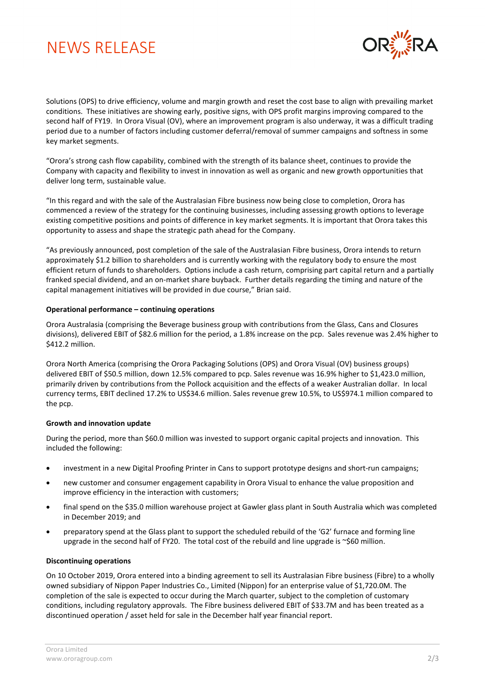## NEWS RELEASE



Solutions (OPS) to drive efficiency, volume and margin growth and reset the cost base to align with prevailing market conditions. These initiatives are showing early, positive signs, with OPS profit margins improving compared to the second half of FY19. In Orora Visual (OV), where an improvement program is also underway, it was a difficult trading period due to a number of factors including customer deferral/removal of summer campaigns and softness in some key market segments.

"Orora's strong cash flow capability, combined with the strength of its balance sheet, continues to provide the Company with capacity and flexibility to invest in innovation as well as organic and new growth opportunities that deliver long term, sustainable value.

"In this regard and with the sale of the Australasian Fibre business now being close to completion, Orora has commenced a review of the strategy for the continuing businesses, including assessing growth options to leverage existing competitive positions and points of difference in key market segments. It is important that Orora takes this opportunity to assess and shape the strategic path ahead for the Company.

"As previously announced, post completion of the sale of the Australasian Fibre business, Orora intends to return approximately \$1.2 billion to shareholders and is currently working with the regulatory body to ensure the most efficient return of funds to shareholders. Options include a cash return, comprising part capital return and a partially franked special dividend, and an on-market share buyback. Further details regarding the timing and nature of the capital management initiatives will be provided in due course," Brian said.

#### **Operational performance – continuing operations**

Orora Australasia (comprising the Beverage business group with contributions from the Glass, Cans and Closures divisions), delivered EBIT of \$82.6 million for the period, a 1.8% increase on the pcp. Sales revenue was 2.4% higher to \$412.2 million.

Orora North America (comprising the Orora Packaging Solutions (OPS) and Orora Visual (OV) business groups) delivered EBIT of \$50.5 million, down 12.5% compared to pcp. Sales revenue was 16.9% higher to \$1,423.0 million, primarily driven by contributions from the Pollock acquisition and the effects of a weaker Australian dollar. In local currency terms, EBIT declined 17.2% to US\$34.6 million. Sales revenue grew 10.5%, to US\$974.1 million compared to the pcp.

#### **Growth and innovation update**

During the period, more than \$60.0 million was invested to support organic capital projects and innovation. This included the following:

- investment in a new Digital Proofing Printer in Cans to support prototype designs and short-run campaigns;
- new customer and consumer engagement capability in Orora Visual to enhance the value proposition and improve efficiency in the interaction with customers;
- final spend on the \$35.0 million warehouse project at Gawler glass plant in South Australia which was completed in December 2019; and
- preparatory spend at the Glass plant to support the scheduled rebuild of the 'G2' furnace and forming line upgrade in the second half of FY20. The total cost of the rebuild and line upgrade is  $\sim$ \$60 million.

#### **Discontinuing operations**

On 10 October 2019, Orora entered into a binding agreement to sell its Australasian Fibre business (Fibre) to a wholly owned subsidiary of Nippon Paper Industries Co., Limited (Nippon) for an enterprise value of \$1,720.0M. The completion of the sale is expected to occur during the March quarter, subject to the completion of customary conditions, including regulatory approvals. The Fibre business delivered EBIT of \$33.7M and has been treated as a discontinued operation / asset held for sale in the December half year financial report.